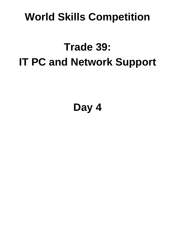# **World Skills Competition**

# **Trade 39: IT PC and Network Support**

**Day 4**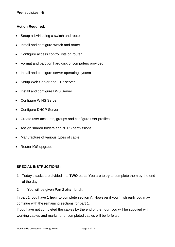Pre-requisites: Nil

#### **Action Required**:

- Setup a LAN using a switch and router
- Install and configure switch and router
- Configure access control lists on router
- Format and partition hard disk of computers provided
- Install and configure server operating system
- Setup Web Server and FTP server
- Install and configure DNS Server
- Configure WINS Server
- Configure DHCP Server
- Create user accounts, groups and configure user profiles
- Assign shared folders and NTFS permissions
- Manufacture of various types of cable
- Router IOS upgrade

#### **SPECIAL INSTRUCTIONS:**

- 1. Today's tasks are divided into **TWO** parts. You are to try to complete them by the end of the day.
- 2. You will be given Part 2 **after** lunch.

In part 1, you have **1 hour** to complete section A. However if you finish early you may continue with the remaining sections for part 1.

If you have not completed the cables by the end of the hour, you will be supplied with working cables and marks for uncompleted cables will be forfeited.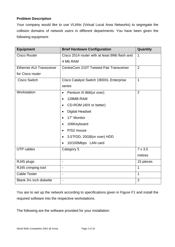#### **Problem Description**

Your company would like to use VLANs (Virtual Local Area Networks) to segregate the collision domains of network users in different departments. You have been given the following equipment:

| <b>Equipment</b>                | <b>Brief Hardware Configuration</b>           | Quantity       |
|---------------------------------|-----------------------------------------------|----------------|
| <b>Cisco Router</b>             | Cisco 2514 router with at least 8Mb flash and | $\mathbf{1}$   |
|                                 | 4 Mb RAM                                      |                |
| <b>Ethernet AUI Transceiver</b> | CentreCom 210T Twisted Pair Transceiver       | 2              |
| for Cisco router                |                                               |                |
| <b>Cisco Switch</b>             | Cisco Catalyst Switch 1900XL Enterprise       | $\mathbf 1$    |
|                                 | series                                        |                |
| Workstation                     | Pentium III 866(or over)<br>$\bullet$         | $\overline{2}$ |
|                                 | 128MB-RAM<br>$\bullet$                        |                |
|                                 | CD-ROM (40X or better)<br>$\bullet$           |                |
|                                 | <b>Digital Headset</b><br>$\bullet$           |                |
|                                 | 17" Monitor<br>$\bullet$                      |                |
|                                 | 106Keyboard<br>$\bullet$                      |                |
|                                 | P/S2 mouse<br>$\bullet$                       |                |
|                                 | 3.5"FDD, 20GB(or over) HDD<br>$\bullet$       |                |
|                                 | 10/100Mbps LAN card<br>$\bullet$              |                |
| <b>UTP cables</b>               | Category 5                                    | $7 \times 3.5$ |
|                                 |                                               | metres         |
| RJ45 plugs                      | $\overline{\phantom{a}}$                      | 15 pieces      |
| RJ45 crimping tool              | $\overline{\phantom{0}}$                      | $\mathbf{1}$   |
| <b>Cable Tester</b>             | $\overline{\phantom{0}}$                      | $\mathbf{1}$   |
| Blank 31⁄4 inch diskette        | $\blacksquare$                                | $\overline{2}$ |

You are to set up the network according to specifications given in Figure F1 and install the required software into the respective workstations.

The following are the software provided for your installation: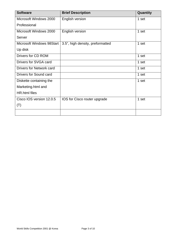| <b>Software</b>               | <b>Brief Description</b>         | Quantity |
|-------------------------------|----------------------------------|----------|
| Microsoft Windows 2000        | English version                  | 1 set    |
| Professional                  |                                  |          |
| Microsoft Windows 2000        | English version                  | 1 set    |
| Server                        |                                  |          |
| Microsoft Windows 98Start     | 3.5", high density, preformatted | 1 set    |
| Up disk                       |                                  |          |
| Drivers for CD ROM            |                                  | 1 set    |
| Drivers for SVGA card         |                                  | 1 set    |
| Drivers for Network card      |                                  | 1 set    |
| <b>Drivers for Sound card</b> |                                  | 1 set    |
| Diskette containing the       |                                  | 1 set    |
| Marketing.html and            |                                  |          |
| <b>HR.html</b> files          |                                  |          |
| Cisco IOS version 12.0.5      | IOS for Cisco router upgrade     | 1 set    |
| (T)                           |                                  |          |
|                               |                                  |          |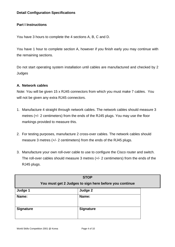#### **Part I Instructions**

You have 3 hours to complete the 4 sections A, B, C and D.

You have 1 hour to complete section A, however if you finish early you may continue with the remaining sections.

Do not start operating system installation until cables are manufactured and checked by 2 **Judges** 

#### **A. Network cables**

Note: You will be given 15 x RJ45 connectors from which you must make 7 cables. You will not be given any extra RJ45 connectors.

- 1. Manufacture 4 straight through network cables. The network cables should measure 3 metres (+/- 2 centimeters) from the ends of the RJ45 plugs. You may use the floor markings provided to measure this.
- 2. For testing purposes, manufacture 2 cross-over cables. The network cables should measure 3 metres (+/- 2 centimeters) from the ends of the RJ45 plugs.
- 3. Manufacture your own roll-over cable to use to configure the Cisco router and switch. The roll-over cables should measure 3 metres (+/- 2 centimeters) from the ends of the RJ45 plugs.

| <b>STOP</b><br>You must get 2 Judges to sign here before you continue |                  |  |
|-----------------------------------------------------------------------|------------------|--|
| Judge 1                                                               | Judge 2          |  |
| Name:                                                                 | Name:            |  |
| <b>Signature</b>                                                      | <b>Signature</b> |  |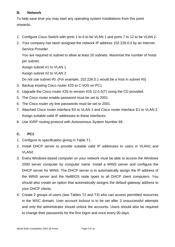#### **B. Network**

To help save time you may start any operating system installations from this point onwards.

- 1. Configure Cisco Switch with ports 1 to 6 to be VLAN 1 and ports 7 to 12 to be VLAN 2.
- 2. Your company has been assigned the network IP address 152.226.0.0 by an Internet Service Provider.

You are required to subnet to allow at least 20 subnets. Maximise the number of hosts per subnet.

Assign subnet #1 to VLAN 1

Assign subnet #2 to VLAN 2

Do not use subnet #0. (For example, 152.226.0.1 would be a host in subnet #0)

- 3. Backup existing Cisco router IOS to C:\IOS on PC1
- 4. Upgrade the Cisco router IOS to version IOS 12.0.5(T) using the CD provided.
- 5. The Cisco router enable password must be set to 2001.
- 6. The Cisco router vty line passwords must be set to 2001.
- 7. Attached Cisco router interface E0 to VLAN 1 and Cisco router interface E1 to VLAN 2. Assign suitable valid IP addresses to these interfaces.
- 8. Use IGRP routing protocol with Autonomous System Number 69.

#### **C. PC1**

- 1. Configure to specification giving in Table T1.
- 2. Install DHCP server to provide suitable valid IP addresses to users in VLAN1 and VLAN2.
- 3. Every Windows-based computer on your network must be able to access the Windows 2000 server computer by computer name. Install a WINS server and configure the DHCP server for WINS. The DHCP server is to automatically assign the IP address of the WINS server and the NetBIOS node types to all DHCP client computers. You should also create an option that automatically assigns the default gateway address to your DHCP clients.
- 4. Create 2 groups of users (see Tables T2 and T3) who can access permitted resources in the WSC domain. User account lockout is to be set after 3 unsuccessful attempts and only the administrator should unlock the accounts. Users should also be required to change their passwords for the first logon and once every 90 days.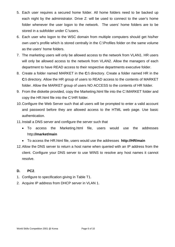- 5. Each user requires a secured home folder. All home folders need to be backed up each night by the administrator. Drive Z: will be used to connect to the user's home folder whenever the user logon to the network. The users' home folders are to be stored in a subfolder under C:\users.
- 6. Each user who logon to the WSC domain from multiple computers should get his/her own user's profile which is stored centrally in the C:\Profiles folder on the same volume as the users' home folders.
- 7. The marketing users will only be allowed access to the network from VLAN1. HR users will only be allowed access to the network from VLAN2. Allow the managers of each department to have READ access to their respective departments executive folder.
- 8. Create a folder named MARKET in the **C:\** directory. Create a folder named HR in the **C:\** directory. Allow the HR group of users to READ access to the contents of MARKET folder. Allow the MARKET group of users NO ACCESS to the contents of HR folder.
- 9. From the diskette provided, copy the Marketing.html file into the C:\MARKET folder and copy the HR.html file into the C:\HR folder.
- 10. Configure the Web Server such that all users will be prompted to enter a valid account and password before they are allowed access to the HTML web page. Use basic authentication.
- 11. Install a DNS server and configure the server such that
	- To access the Marketing.html file, users would use the addresses http**://market/main**
	- To access the HR.html file, users would use the addresses **http://HR/main**
- 12. Allow the DNS server to return a host name when queried with an IP address from the client. Configure your DNS server to use WINS to resolve any host names it cannot resolve.

#### **D. PC2**.

- 1. Configure to specification giving in Table T1.
- 2. Acquire IP address from DHCP server in VLAN 1.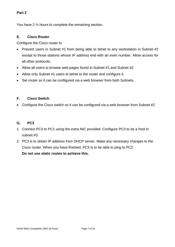#### **Part 2**

You have 2 ½ hours to complete the remaining section.

#### **E. Cisco Router**

Configure the Cisco router to

- Prevent users in Subnet #1 from being able to telnet to any workstation in Subnet #2 except to those stations whose IP address end with an even number. Allow access for all other protocols.
- Allow all users to browse web pages found in Subnet #1 and Subnet #2
- Allow only Subnet #1 users to telnet to the router and configure it.
- Set router so it can be configured via a web browser from both Subnets.

#### **F. Cisco Switch**

• Configure the Cisco switch so it can be configured via a web browser from Subnet #2

#### **G. PC3**

- 1. Connect PC3 to PC1 using the extra NIC provided. Configure PC3 to be a host in subnet #3.
- 2. PC3 is to obtain IP address from DHCP server. Make any necessary changes to the Cisco router. When you have finished, PC3 is to be able to ping to PC2.

**Do not use static routes to achieve this.**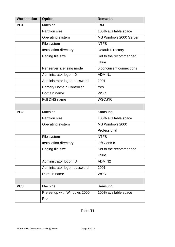| <b>Workstation</b> | <b>Option</b>                    | <b>Remarks</b>           |
|--------------------|----------------------------------|--------------------------|
| PC <sub>1</sub>    | Machine                          | <b>IBM</b>               |
|                    | <b>Partition size</b>            | 100% available space     |
|                    | Operating system                 | MS Windows 2000 Server   |
|                    | File system                      | <b>NTFS</b>              |
|                    | Installation directory           | <b>Default Directory</b> |
|                    | Paging file size                 | Set to the recommended   |
|                    |                                  | value                    |
|                    | Per server licensing mode        | 5 concurrent connections |
|                    | Administrator logon ID           | ADMIN1                   |
|                    | Administrator logon password     | 2001                     |
|                    | <b>Primary Domain Controller</b> | Yes                      |
|                    | Domain name                      | <b>WSC</b>               |
|                    | Full DNS name                    | <b>WSC.KR</b>            |
|                    |                                  |                          |
| PC <sub>2</sub>    | Machine                          | Samsung                  |
|                    | <b>Partition size</b>            | 100% available space     |
|                    | Operating system                 | MS Windows 2000          |
|                    |                                  | Professional             |
|                    | File system                      | <b>NTFS</b>              |
|                    | Installation directory           | C:\ClientOS              |
|                    | Paging file size                 | Set to the recommended   |
|                    |                                  | value                    |
|                    | Administrator logon ID           | ADMIN2                   |
|                    | Administrator logon password     | 2001                     |
|                    | Domain name                      | <b>WSC</b>               |
|                    |                                  |                          |
| PC <sub>3</sub>    | Machine                          | Samsung                  |
|                    | Pre set up with Windows 2000     | 100% available space     |
|                    | Pro                              |                          |

### Table T1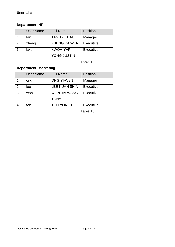#### **Department: HR**

|    | <b>User Name</b> | <b>Full Name</b>    | Position         |
|----|------------------|---------------------|------------------|
|    | tan              | <b>TAN TZE HAU</b>  | Manager          |
| 2. | zheng            | <b>ZHENG KAIWEN</b> | <b>Executive</b> |
| 3. | kwoh             | <b>KWOH YAP</b>     | Executive        |
|    |                  | YONG JUSTIN         |                  |

Table T2

## **Department: Marketing**

|    | <b>User Name</b> | <b>Full Name</b>     | Position  |
|----|------------------|----------------------|-----------|
| 1. | ong              | <b>ONG YI-WEN</b>    | Manager   |
| 2. | lee              | <b>LEE KUAN SHIN</b> | Executive |
| 3. | won              | <b>WON JIA WANG</b>  | Executive |
|    |                  | <b>TONY</b>          |           |
| 4. | toh              | TOH YONG HOE         | Executive |
|    |                  |                      | Table T3  |